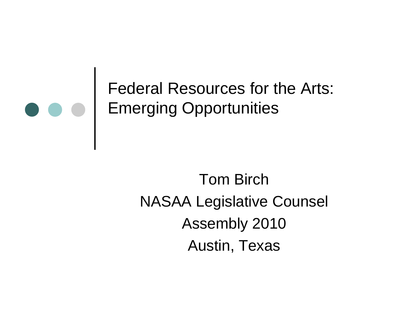

Federal Resources for the Arts: Emerging Opportunities

> Tom BirchNASAA Legislative Counsel Assembly 2010 Austin, Texas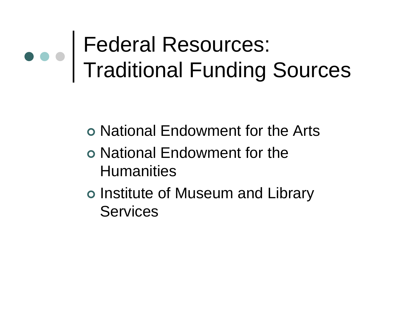#### Federal Resources: Traditional Funding Sources

- National Endowment for the Arts
- o National Endowment for the **Humanities**
- o Institute of Museum and Library **Services**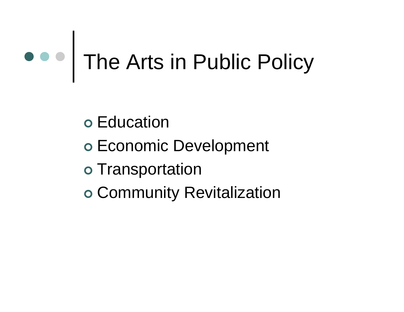## The Arts in Public Policy

o Education

- Economic Development
- o Transportation
- Community Revitalization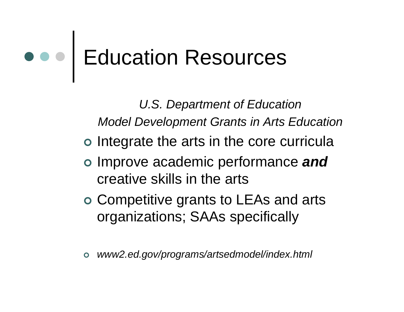#### Education Resources

*U.S. Department of Education Model Development Grants in Arts Education* o Integrate the arts in the core curricula Improve academic performance *and*  creative skills in the arts Competitive grants to LEAs and arts organizations; SAAs specifically

 $\bullet$ *www2.ed.gov/programs/artsedmodel/index.html*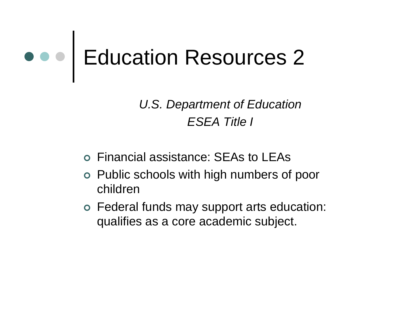## Education Resources 2

*U.S. Department of Education ESEA Title I*

- Financial assistance: SEAs to LEAs
- Public schools with high numbers of poor children
- Federal funds may support arts education: qualifies as a core academic subject.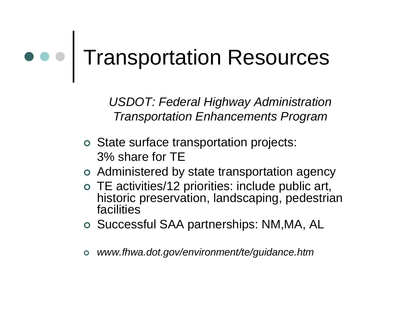#### Transportation Resources

*USDOT: Federal Highway Administration Transportation Enhancements Program*

- State surface transportation projects: 3% share for TE
- Administered by state transportation agency
- TE activities/12 priorities: include public art, historic preservation, landscaping, pedestrian facilities
- o Successful SAA partnerships: NM,MA, AL
- $\bullet$ *www.fhwa.dot.gov/environment/te/guidance.htm*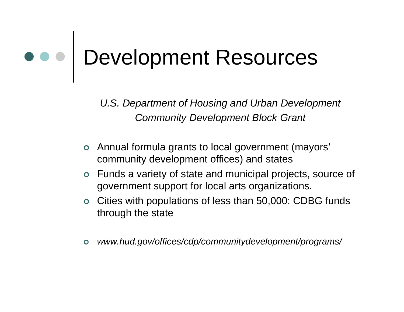## Development Resources

*U.S. Department of Housing and Urban Development Community Development Block Grant*

- Annual formula grants to local government (mayors' community development offices) and states
- Funds a variety of state and municipal projects, source of government support for local arts organizations.
- Cities with populations of less than 50,000: CDBG funds through the state
- $\bullet$ *www.hud.gov/offices/cdp/communitydevelopment/programs/*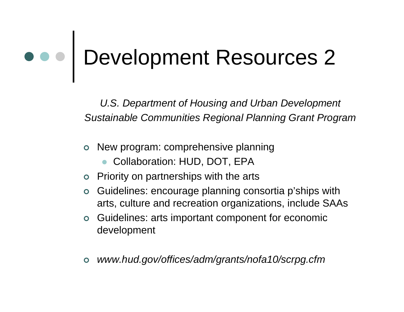# Development Resources 2

*U.S. Department of Housing and Urban Development Sustainable Communities Regional Planning Grant Program*

- New program: comprehensive planning
	- $\bullet$ Collaboration: HUD, DOT, EPA
- Priority on partnerships with the arts
- $\bullet$  Guidelines: encourage planning consortia p'ships with arts, culture and recreation organizations, include SAAs
- **o** Guidelines: arts important component for economic development
- $\bullet$ *www.hud.gov/offices/adm/grants/nofa10/scrpg.cfm*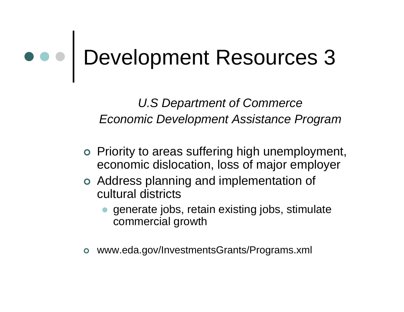# Development Resources 3

*U.S Department of Commerce Economic Development Assistance Program*

- Priority to areas suffering high unemployment, economic dislocation, loss of major employer
- Address planning and implementation of cultural districts
	- $\bullet$  generate jobs, retain existing jobs, stimulate commercial growth
- $\bullet$ www.eda.gov/InvestmentsGrants/Programs.xml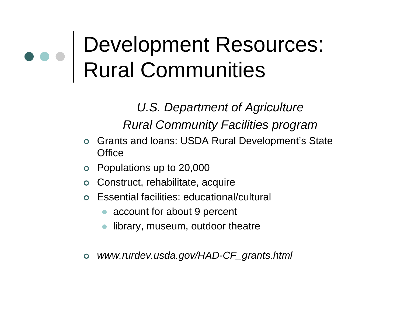#### Development Resources: Rural Communities

*U.S. Department of Agriculture Rural Community Facilities program*

- $\bullet$  Grants and loans: USDA Rural Development's State **Office**
- $\bullet$ Populations up to 20,000
- $\bullet$ Construct, rehabilitate, acquire
- $\bullet$  Essential facilities: educational/cultural
	- account for about 9 percent
	- $\bullet$ library, museum, outdoor theatre
- *www.rurdev.usda.gov/HAD-CF\_grants.html*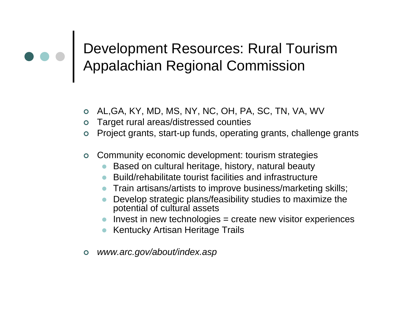#### Development Resources: Rural Tourism Appalachian Regional Commission

- AL,GA, KY, MD, MS, NY, NC, OH, PA, SC, TN, VA, WV
- Target rural areas/distressed counties
- Project grants, start-up funds, operating grants, challenge grants
- Community economic development: tourism strategies
	- $\bullet$ Based on cultural heritage, history, natural beauty
	- Build/rehabilitate tourist facilities and infrastructure
	- $\bullet$ Train artisans/artists to improve business/marketing skills;
	- $\bullet$  Develop strategic plans/feasibility studies to maximize the potential of cultural assets
	- $\bullet$  Invest in new technologies = create new visitor experiences
	- **Kentucky Artisan Heritage Trails**
- $\bullet$ *www.arc.gov/about/index.asp*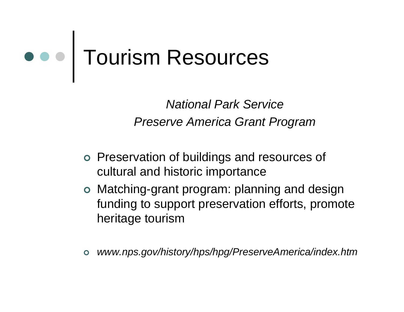#### Tourism Resources

*National Park ServicePreserve America Grant Program*

- Preservation of buildings and resources of cultural and historic importance
- Matching-grant program: planning and design funding to support preservation efforts, promote heritage tourism
- $\bullet$ *www.nps.gov/history/hps/hpg/PreserveAmerica/index.htm*